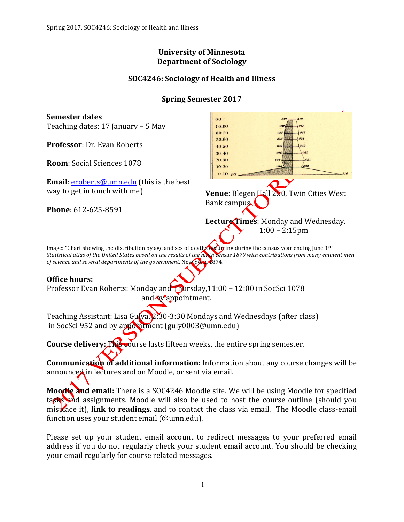#### **University of Minnesota Department of Sociology**

## **SOC4246: Sociology of Health and Illness**

## **Spring Semester 2017**

**Semester dates**  $80+$ Teaching dates:  $17$  January – 5 May 70.80 60.70 50.60 **Professor**: Dr. Evan Roberts 40.50 30.40 20.30 **Room:** Social Sciences 1078  $10.20$  $0.10 z5$ **Email:**  $eroberts@umm.edu$  (this is the best way to get in touch with me) **Venue:** Blegen **Hall 250**, Twin Cities West Bank campus. **Phone**: 612-625-8591 Lecture Times: Monday and Wednesday,  $1:00 - 2:15$ pm Image: "Chart showing the distribution by age and sex of deaths **occurring** during the census year ending June 1st" *Statistical atlas of the United States based on the results of the ninth vensus 1870 with contributions from many eminent men of science and several departments of the government.* New York, 1874. **Office hours:** Professor Evan Roberts: Monday and Thursday,11:00 - 12:00 in SocSci 1078 and by appointment. Teaching Assistant: Lisa  $G_{\mu}$  (va,  $2:30$  Mondays and Wednesdays (after class) in SocSci 952 and by appointment (guly0003@umn.edu) **Course delivery:** This eourse lasts fifteen weeks, the entire spring semester.

**Communication of additional information:** Information about any course changes will be announced in lectures and on Moodle, or sent via email.

**Moodle and email:** There is a SOC4246 Moodle site. We will be using Moodle for specified tashs and assignments. Moodle will also be used to host the course outline (should you mis**place** it), link to readings, and to contact the class via email. The Moodle class-email function uses your student email (@umn.edu).

Please set up your student email account to redirect messages to your preferred email address if you do not regularly check your student email account. You should be checking your email regularly for course related messages.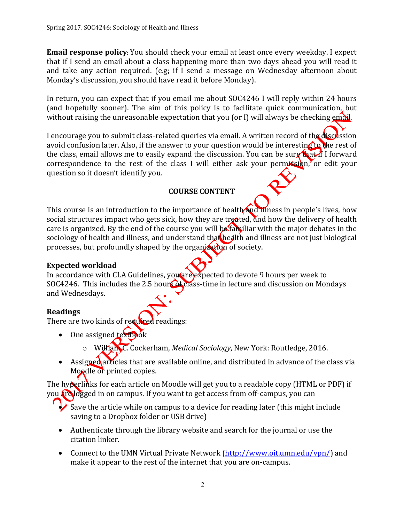**Email response policy**: You should check your email at least once every weekday. I expect that if I send an email about a class happening more than two days ahead you will read it and take any action required. (e.g; if  $\overline{1}$  send a message on Wednesday afternoon about Monday's discussion, you should have read it before Monday).

In return, you can expect that if you email me about SOC4246 I will reply within 24 hours (and hopefully sooner). The aim of this policy is to facilitate quick communication, but without raising the unreasonable expectation that you (or I) will always be checking  $em\ddot{\alpha}$ .

I encourage you to submit class-related queries via email. A written record of the discussion avoid confusion later. Also, if the answer to your question would be interesting to the rest of the class, email allows me to easily expand the discussion. You can be sure that if I forward correspondence to the rest of the class I will either ask your permission, or edit your question so it doesn't identify you.

#### **COURSE CONTENT**

This course is an introduction to the importance of health and illness in people's lives, how social structures impact who gets sick, how they are treated, and how the delivery of health care is organized. By the end of the course you will be familiar with the major debates in the sociology of health and illness, and understand that health and illness are not just biological processes, but profoundly shaped by the organization of society.

#### **Expected workload**

In accordance with CLA Guidelines, you are expected to devote 9 hours per week to SOC4246. This includes the 2.5 hours of class-time in lecture and discussion on Mondays and Wednesdays.

#### **Readings**

There are two kinds of required readings:

- $\bullet$  One assigned  $\text{text}$ 
	- o William C. Cockerham, *Medical Sociology*, New York: Routledge, 2016.
- Assigned articles that are available online, and distributed in advance of the class via Moodle or printed copies.

The hyperlinks for each article on Moodle will get you to a readable copy (HTML or PDF) if you are logged in on campus. If you want to get access from off-campus, you can

- Save the article while on campus to a device for reading later (this might include saving to a Dropbox folder or USB drive)
- Authenticate through the library website and search for the journal or use the citation linker.
- Connect to the UMN Virtual Private Network (http://www.oit.umn.edu/vpn/) and make it appear to the rest of the internet that you are on-campus.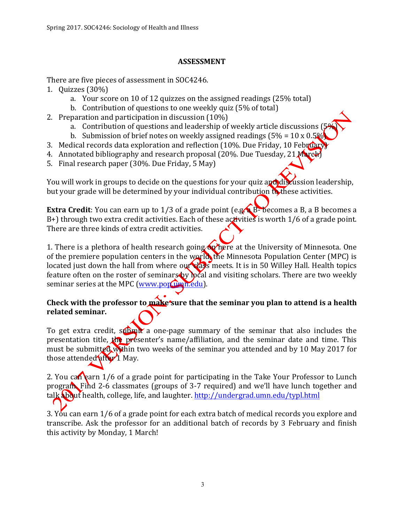#### **ASSESSMENT**

There are five pieces of assessment in SOC4246.

- 1. Quizzes  $(30\%)$ 
	- a. Your score on 10 of 12 quizzes on the assigned readings (25% total)
	- b. Contribution of questions to one weekly quiz (5% of total)
- 2. Preparation and participation in discussion  $(10\%)$ 
	- a. Contribution of questions and leadership of weekly article discussions ( $\frac{1}{2}$ )
	- b. Submission of brief notes on weekly assigned readings  $(5\% = 10 \times 0.5\%)$
- 3. Medical records data exploration and reflection (10%. Due Friday, 10 February)
- 4. Annotated bibliography and research proposal (20%. Due Tuesday, 21 March)
- 5. Final research paper (30%. Due Friday, 5 May)

You will work in groups to decide on the questions for your quiz and discussion leadership, but your grade will be determined by your individual contribution to these activities.

**Extra Credit**: You can earn up to  $1/3$  of a grade point (e.g.  $\overline{B}$ - becomes a B, a B becomes a B+) through two extra credit activities. Each of these activities is worth 1/6 of a grade point. There are three kinds of extra credit activities.

1. There is a plethora of health research going  $\omega$  here at the University of Minnesota. One of the premiere population centers in the world, the Minnesota Population Center (MPC) is located just down the hall from where our  $\sqrt{23}$  meets. It is in 50 Willey Hall. Health topics feature often on the roster of seminars by peal and visiting scholars. There are two weekly seminar series at the MPC (www.pop.umn.edu).

## Check with the professor to make sure that the seminar you plan to attend is a health **related seminar.**

To get extra credit, submix a one-page summary of the seminar that also includes the presentation title,  $\ln$  presenter's name/affiliation, and the seminar date and time. This must be submitted within two weeks of the seminar you attended and by 10 May 2017 for those attended after 1 May.

2. You can earn  $1/6$  of a grade point for participating in the Take Your Professor to Lunch program. Find 2-6 classmates (groups of 3-7 required) and we'll have lunch together and talk about health, college, life, and laughter. http://undergrad.umn.edu/typl.html

3. You can earn 1/6 of a grade point for each extra batch of medical records you explore and transcribe. Ask the professor for an additional batch of records by 3 February and finish this activity by Monday, 1 March!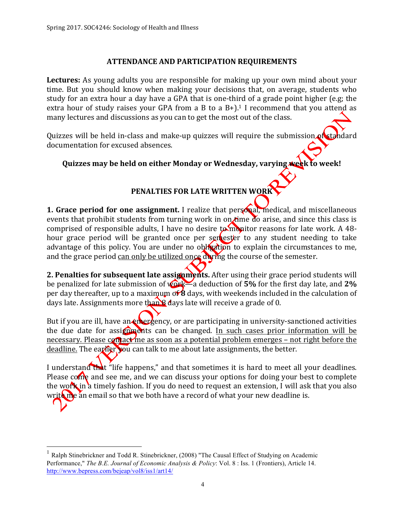#### **ATTENDANCE AND PARTICIPATION REQUIREMENTS**

**Lectures:** As young adults you are responsible for making up your own mind about your time. But you should know when making your decisions that, on average, students who study for an extra hour a day have a GPA that is one-third of a grade point higher (e.g; the extra hour of study raises your GPA from a B to a  $B+$ ).<sup>1</sup> I recommend that you attend as many lectures and discussions as you can to get the most out of the class.

Quizzes will be held in-class and make-up quizzes will require the submission of standard documentation for excused absences.

Quizzes may be held on either Monday or Wednesday, varying **week** to week!

## **PENALTIES FOR LATE WRITTEN WORK**

**1. Grace period for one assignment.** I realize that personal, medical, and miscellaneous events that prohibit students from turning work in on time do arise, and since this class is comprised of responsible adults, I have no desire  $\tan$  monitor reasons for late work. A 48hour grace period will be granted once per semeter to any student needing to take advantage of this policy. You are under no obligation to explain the circumstances to me, and the grace period can only be utilized once during the course of the semester.

**2. Penalties for subsequent late assignments.** After using their grace period students will be penalized for late submission of  $\sqrt{\Omega}$   $\approx$  a deduction of 5% for the first day late, and 2% per day thereafter, up to a maximum or **8** days, with weekends included in the calculation of days late. Assignments more than  $\frac{1}{8}$  days late will receive a grade of 0.

But if you are ill, have an emergency, or are participating in university-sanctioned activities the due date for assignments can be changed. In such cases prior information will be necessary. Please contact me as soon as a potential problem emerges – not right before the deadline. The earlier you can talk to me about late assignments, the better.

I understand that "life happens," and that sometimes it is hard to meet all your deadlines. Please come and see me, and we can discuss your options for doing your best to complete the work in a timely fashion. If you do need to request an extension, I will ask that you also write  $\mathbf{m}$  an email so that we both have a record of what your new deadline is.

 <sup>1</sup> Ralph Stinebrickner and Todd R. Stinebrickner, (2008) "The Causal Effect of Studying on Academic Performance," *The B.E. Journal of Economic Analysis & Policy*: Vol. 8 : Iss. 1 (Frontiers), Article 14. http://www.bepress.com/bejeap/vol8/iss1/art14/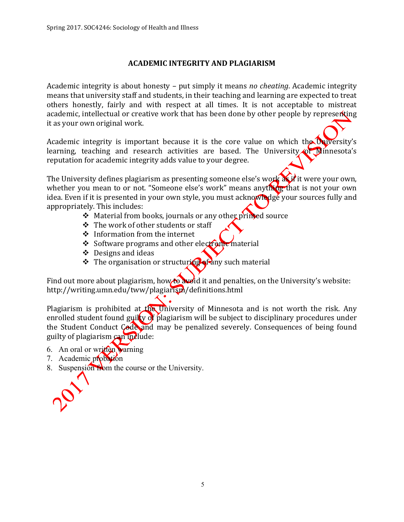#### **ACADEMIC INTEGRITY AND PLAGIARISM**

Academic integrity is about honesty - put simply it means *no cheating*. Academic integrity means that university staff and students, in their teaching and learning are expected to treat others honestly, fairly and with respect at all times. It is not acceptable to mistreat academic, intellectual or creative work that has been done by other people by representing it as your own original work.

Academic integrity is important because it is the core value on which the University's learning, teaching and research activities are based. The University of Minnesota's reputation for academic integrity adds value to your degree.

The University defines plagiarism as presenting someone else's work  $\overrightarrow{d}$  it were your own, whether you mean to or not. "Someone else's work" means anything that is not your own idea. Even if it is presented in your own style, you must acknowledge your sources fully and appropriately. This includes:

- $\cdot$  Material from books, journals or any other printed source
- $\div$  The work of other students or staff
- $\div$  Information from the internet
- $\div$  Software programs and other electronic material
- $\div$  Designs and ideas
- $\cdot$  The organisation or structuring of any such material

Find out more about plagiarism, how to avoid it and penalties, on the University's website: http://writing.umn.edu/tww/plagiarism/definitions.html

Plagiarism is prohibited at the University of Minnesota and is not worth the risk. Any enrolled student found guilty of plagiarism will be subject to disciplinary procedures under the Student Conduct Code and may be penalized severely. Consequences of being found guilty of plagiarism  $\cos$  include:

- 6. An oral or written warning
- 7. Academic probation
- 8. Suspension from the course or the University.

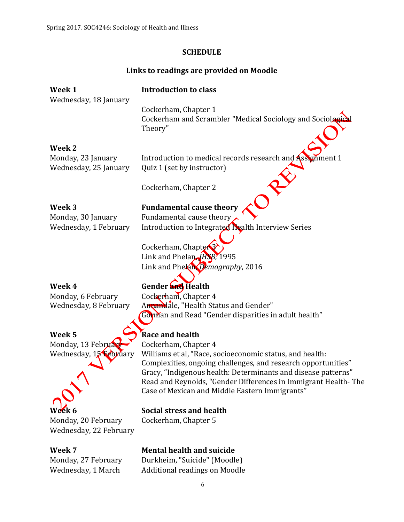## **SCHEDULE**

# Links to readings are provided on Moodle

| Week 1                 | <b>Introduction to class</b>                                                                   |
|------------------------|------------------------------------------------------------------------------------------------|
| Wednesday, 18 January  | Cockerham, Chapter 1<br>Cockerham and Scrambler "Medical Sociology and Sociological<br>Theory" |
| Week 2                 |                                                                                                |
| Monday, 23 January     | Introduction to medical records research and Assignment 1                                      |
| Wednesday, 25 January  | Quiz 1 (set by instructor)                                                                     |
|                        | Cockerham, Chapter 2                                                                           |
| Week <sub>3</sub>      | <b>Fundamental cause theory</b>                                                                |
| Monday, 30 January     | Fundamental cause theory                                                                       |
| Wednesday, 1 February  | Introduction to Integrated Health Interview Series                                             |
|                        |                                                                                                |
|                        | Cockerham, Chapter <sup>3</sup>                                                                |
|                        | Link and Phelan, HSB, 1995                                                                     |
|                        | Link and Phelan, Demography, 2016                                                              |
| Week 4                 | Gender and Health                                                                              |
| Monday, 6 February     | Cockerham, Chapter 4                                                                           |
| Wednesday, 8 February  | Annandale, "Health Status and Gender"                                                          |
|                        | Gorman and Read "Gender disparities in adult health"                                           |
| Week <sub>5</sub>      | Race and health                                                                                |
| Monday, 13 February    | Cockerham, Chapter 4                                                                           |
| Wednesday, 15 February | Williams et al, "Race, socioeconomic status, and health:                                       |
|                        | Complexities, ongoing challenges, and research opportunities"                                  |
|                        | Gracy, "Indigenous health: Determinants and disease patterns"                                  |
|                        | Read and Reynolds, "Gender Differences in Immigrant Health-The                                 |
|                        | Case of Mexican and Middle Eastern Immigrants"                                                 |
| Week 6                 | <b>Social stress and health</b>                                                                |
| Monday, 20 February    | Cockerham, Chapter 5                                                                           |
| Wednesday, 22 February |                                                                                                |
| Week 7                 | <b>Mental health and suicide</b>                                                               |
| Monday, 27 February    | Durkheim, "Suicide" (Moodle)                                                                   |
| Wednesday, 1 March     | <b>Additional readings on Moodle</b>                                                           |

6